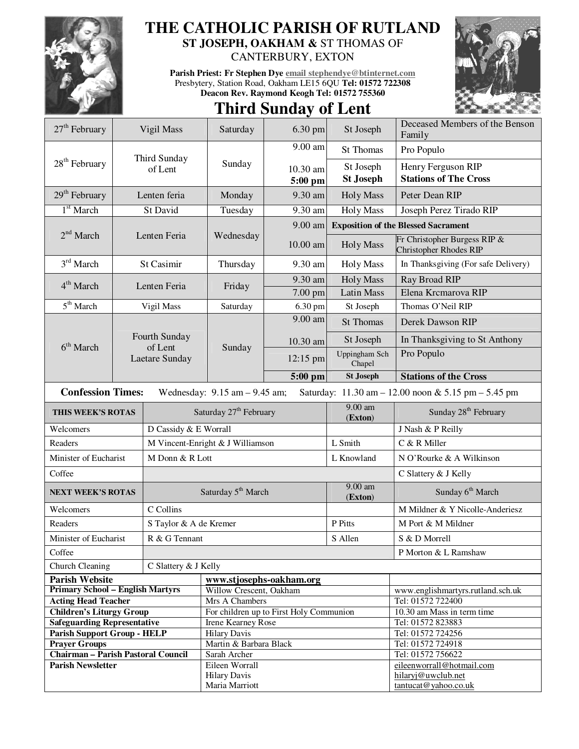

## **THE CATHOLIC PARISH OF RUTLAND**

**ST JOSEPH, OAKHAM &** ST THOMAS OF

CANTERBURY, EXTON

**Parish Priest: Fr Stephen Dye email stephendye@btinternet.com** Presbytery, Station Road, Oakham LE15 6QU **Tel: 01572 722308 Deacon Rev. Raymond Keogh Tel: 01572 755360** 



## **Third Sunday of Lent**

| 27 <sup>th</sup> February                                                                                            |                           | Vigil Mass                       | Saturday                                                      | 6.30 pm             | St Joseph                                  | Deceased Members of the Benson<br>Family                      |  |  |
|----------------------------------------------------------------------------------------------------------------------|---------------------------|----------------------------------|---------------------------------------------------------------|---------------------|--------------------------------------------|---------------------------------------------------------------|--|--|
|                                                                                                                      |                           |                                  | Sunday                                                        | 9.00 am             | St Thomas                                  | Pro Populo                                                    |  |  |
| $28th$ February                                                                                                      |                           | Third Sunday<br>of Lent          |                                                               | 10.30 am<br>5:00 pm | St Joseph<br><b>St Joseph</b>              | Henry Ferguson RIP<br><b>Stations of The Cross</b>            |  |  |
| $29th$ February                                                                                                      |                           | Lenten feria                     | Monday                                                        | 9.30 am             | <b>Holy Mass</b>                           | Peter Dean RIP                                                |  |  |
| $1st$ March                                                                                                          |                           | St David                         | Tuesday                                                       | 9.30 am             | <b>Holy Mass</b>                           | Joseph Perez Tirado RIP                                       |  |  |
|                                                                                                                      |                           |                                  |                                                               | $9.00$ am           | <b>Exposition of the Blessed Sacrament</b> |                                                               |  |  |
| 2 <sup>nd</sup> March                                                                                                |                           | Lenten Feria                     | Wednesday                                                     | 10.00 am            | <b>Holy Mass</b>                           | Fr Christopher Burgess RIP &<br><b>Christopher Rhodes RIP</b> |  |  |
| $3rd$ March                                                                                                          | St Casimir                |                                  | Thursday                                                      | 9.30 am             | <b>Holy Mass</b>                           | In Thanksgiving (For safe Delivery)                           |  |  |
| $4th$ March                                                                                                          | Lenten Feria              |                                  | Friday                                                        | 9.30 am             | <b>Holy Mass</b>                           | Ray Broad RIP                                                 |  |  |
|                                                                                                                      |                           |                                  |                                                               | $7.00$ pm           | <b>Latin Mass</b>                          | Elena Krcmarova RIP                                           |  |  |
| 5 <sup>th</sup> March                                                                                                |                           | Vigil Mass                       | Saturday                                                      | 6.30 pm             | St Joseph                                  | Thomas O'Neil RIP                                             |  |  |
|                                                                                                                      |                           |                                  |                                                               | 9.00 am             | <b>St Thomas</b>                           | Derek Dawson RIP                                              |  |  |
|                                                                                                                      |                           | Fourth Sunday                    |                                                               | 10.30 am            | St Joseph                                  | In Thanksgiving to St Anthony                                 |  |  |
| 6 <sup>th</sup> March                                                                                                | of Lent<br>Laetare Sunday |                                  | Sunday                                                        | 12:15 pm            | Uppingham Sch<br>Chapel                    | Pro Populo                                                    |  |  |
|                                                                                                                      |                           |                                  |                                                               | $5:00$ pm           | <b>St Joseph</b>                           | <b>Stations of the Cross</b>                                  |  |  |
| <b>Confession Times:</b><br>Saturday: 11.30 am - 12.00 noon & 5.15 pm - 5.45 pm<br>Wednesday: $9.15$ am $- 9.45$ am; |                           |                                  |                                                               |                     |                                            |                                                               |  |  |
| THIS WEEK'S ROTAS                                                                                                    |                           |                                  | Saturday 27 <sup>th</sup> February                            |                     | $9.00$ am<br>(Exton)                       | Sunday 28 <sup>th</sup> February                              |  |  |
| Welcomers                                                                                                            |                           | D Cassidy & E Worrall            |                                                               |                     |                                            | J Nash & P Reilly                                             |  |  |
| Readers                                                                                                              |                           | M Vincent-Enright & J Williamson |                                                               |                     | L Smith                                    | C & R Miller                                                  |  |  |
| Minister of Eucharist                                                                                                |                           | M Donn & R Lott                  |                                                               |                     | L Knowland                                 | N O'Rourke & A Wilkinson                                      |  |  |
| Coffee                                                                                                               |                           |                                  |                                                               |                     |                                            | C Slattery & J Kelly                                          |  |  |
| <b>NEXT WEEK'S ROTAS</b>                                                                                             |                           | Saturday 5 <sup>th</sup> March   |                                                               |                     | 9.00 am<br>(Exton)                         | Sunday 6 <sup>th</sup> March                                  |  |  |
| Welcomers                                                                                                            |                           | C Collins                        |                                                               |                     |                                            | M Mildner & Y Nicolle-Anderiesz                               |  |  |
| Readers                                                                                                              |                           |                                  | S Taylor & A de Kremer                                        |                     |                                            | M Port & M Mildner                                            |  |  |
| Minister of Eucharist                                                                                                |                           | R & G Tennant                    |                                                               |                     | S Allen                                    | S & D Morrell                                                 |  |  |
| Coffee                                                                                                               |                           |                                  |                                                               |                     | P Morton & L Ramshaw                       |                                                               |  |  |
| Church Cleaning                                                                                                      |                           | C Slattery & J Kelly             |                                                               |                     |                                            |                                                               |  |  |
| <b>Parish Website</b>                                                                                                |                           |                                  | www.stjosephs-oakham.org                                      |                     |                                            |                                                               |  |  |
| <b>Primary School - English Martyrs</b>                                                                              |                           |                                  | Willow Crescent, Oakham                                       |                     |                                            | www.englishmartyrs.rutland.sch.uk                             |  |  |
| <b>Acting Head Teacher</b>                                                                                           |                           |                                  | Mrs A Chambers                                                |                     |                                            | Tel: 01572 722400                                             |  |  |
| <b>Children's Liturgy Group</b>                                                                                      |                           |                                  | For children up to First Holy Communion<br>Irene Kearney Rose |                     |                                            | 10.30 am Mass in term time                                    |  |  |
| <b>Safeguarding Representative</b><br><b>Parish Support Group - HELP</b>                                             |                           |                                  | <b>Hilary Davis</b>                                           |                     |                                            | Tel: 01572 823883<br>Tel: 01572 724256                        |  |  |
| <b>Prayer Groups</b>                                                                                                 |                           |                                  | Martin & Barbara Black                                        |                     |                                            | Tel: 01572 724918                                             |  |  |
| Chairman - Parish Pastoral Council                                                                                   |                           |                                  | Sarah Archer                                                  |                     |                                            | Tel: 01572 756622                                             |  |  |
| <b>Parish Newsletter</b>                                                                                             |                           |                                  | Eileen Worrall                                                |                     |                                            | eileenworrall@hotmail.com                                     |  |  |
|                                                                                                                      |                           |                                  | <b>Hilary Davis</b>                                           |                     |                                            | hilaryj@uwclub.net                                            |  |  |
|                                                                                                                      |                           |                                  | Maria Marriott                                                |                     |                                            | tantucat@yahoo.co.uk                                          |  |  |